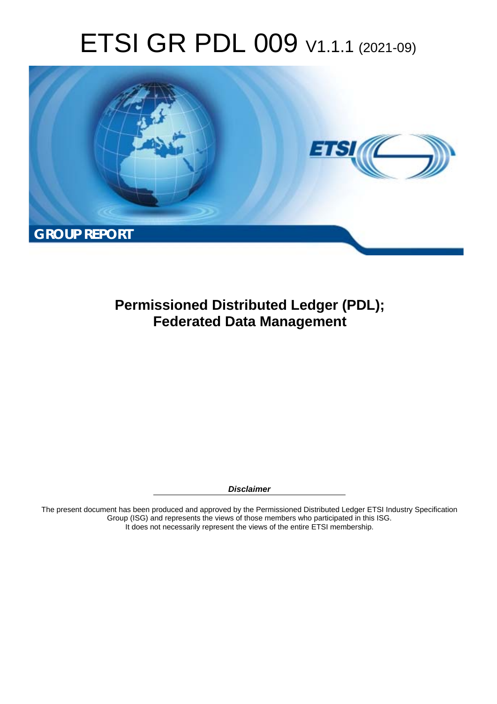# ETSI GR PDL 009 V1.1.1 (2021-09)



**Permissioned Distributed Ledger (PDL); Federated Data Management** 

*Disclaimer* 

The present document has been produced and approved by the Permissioned Distributed Ledger ETSI Industry Specification Group (ISG) and represents the views of those members who participated in this ISG. It does not necessarily represent the views of the entire ETSI membership.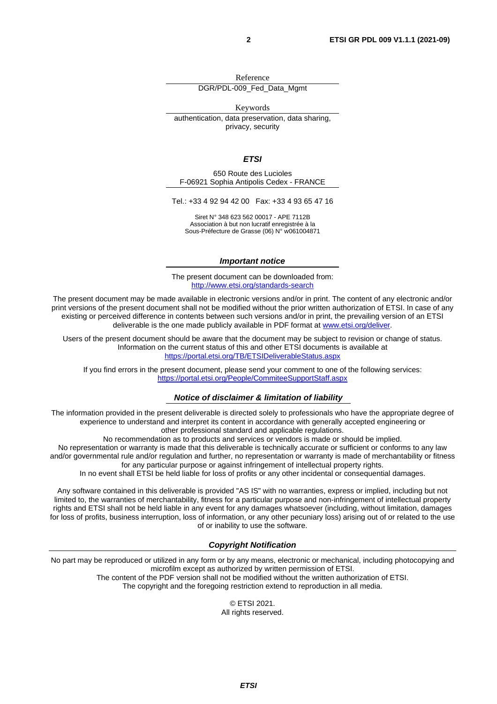Reference DGR/PDL-009\_Fed\_Data\_Mgmt

Keywords

authentication, data preservation, data sharing, privacy, security

#### *ETSI*

650 Route des Lucioles F-06921 Sophia Antipolis Cedex - FRANCE

Tel.: +33 4 92 94 42 00 Fax: +33 4 93 65 47 16

Siret N° 348 623 562 00017 - APE 7112B Association à but non lucratif enregistrée à la Sous-Préfecture de Grasse (06) N° w061004871

#### *Important notice*

The present document can be downloaded from: <http://www.etsi.org/standards-search>

The present document may be made available in electronic versions and/or in print. The content of any electronic and/or print versions of the present document shall not be modified without the prior written authorization of ETSI. In case of any existing or perceived difference in contents between such versions and/or in print, the prevailing version of an ETSI deliverable is the one made publicly available in PDF format at [www.etsi.org/deliver.](http://www.etsi.org/deliver)

Users of the present document should be aware that the document may be subject to revision or change of status. Information on the current status of this and other ETSI documents is available at <https://portal.etsi.org/TB/ETSIDeliverableStatus.aspx>

If you find errors in the present document, please send your comment to one of the following services: <https://portal.etsi.org/People/CommiteeSupportStaff.aspx>

#### *Notice of disclaimer & limitation of liability*

The information provided in the present deliverable is directed solely to professionals who have the appropriate degree of experience to understand and interpret its content in accordance with generally accepted engineering or other professional standard and applicable regulations.

No recommendation as to products and services or vendors is made or should be implied.

No representation or warranty is made that this deliverable is technically accurate or sufficient or conforms to any law and/or governmental rule and/or regulation and further, no representation or warranty is made of merchantability or fitness for any particular purpose or against infringement of intellectual property rights.

In no event shall ETSI be held liable for loss of profits or any other incidental or consequential damages.

Any software contained in this deliverable is provided "AS IS" with no warranties, express or implied, including but not limited to, the warranties of merchantability, fitness for a particular purpose and non-infringement of intellectual property rights and ETSI shall not be held liable in any event for any damages whatsoever (including, without limitation, damages for loss of profits, business interruption, loss of information, or any other pecuniary loss) arising out of or related to the use of or inability to use the software.

#### *Copyright Notification*

No part may be reproduced or utilized in any form or by any means, electronic or mechanical, including photocopying and microfilm except as authorized by written permission of ETSI. The content of the PDF version shall not be modified without the written authorization of ETSI.

The copyright and the foregoing restriction extend to reproduction in all media.

© ETSI 2021. All rights reserved.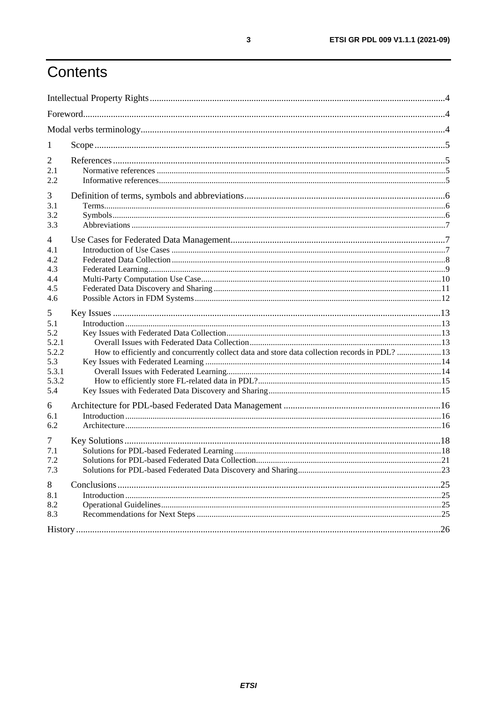# Contents

|                                                                   |                                                                                               |  | 1 |
|-------------------------------------------------------------------|-----------------------------------------------------------------------------------------------|--|---|
| $\overline{2}$<br>2.1<br>2.2                                      |                                                                                               |  |   |
| 3<br>3.1<br>3.2<br>3.3                                            |                                                                                               |  |   |
| 4<br>4.1<br>4.2<br>4.3<br>4.4<br>4.5<br>4.6                       |                                                                                               |  |   |
| 5<br>5.1<br>5.2<br>5.2.1<br>5.2.2<br>5.3<br>5.3.1<br>5.3.2<br>5.4 | How to efficiently and concurrently collect data and store data collection records in PDL? 13 |  |   |
| 6<br>6.1<br>6.2                                                   |                                                                                               |  |   |
| 7<br>7.1<br>7.2<br>7.3                                            |                                                                                               |  |   |
| 8<br>8.1<br>8.2<br>8.3                                            |                                                                                               |  |   |
|                                                                   |                                                                                               |  |   |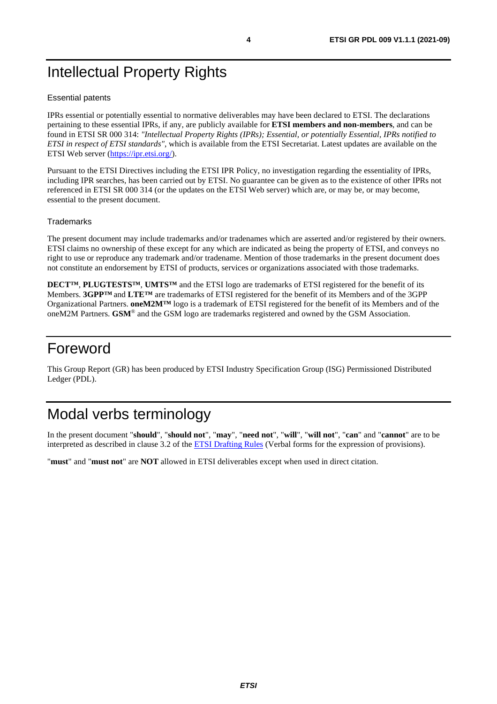# <span id="page-3-0"></span>Intellectual Property Rights

#### Essential patents

IPRs essential or potentially essential to normative deliverables may have been declared to ETSI. The declarations pertaining to these essential IPRs, if any, are publicly available for **ETSI members and non-members**, and can be found in ETSI SR 000 314: *"Intellectual Property Rights (IPRs); Essential, or potentially Essential, IPRs notified to ETSI in respect of ETSI standards"*, which is available from the ETSI Secretariat. Latest updates are available on the ETSI Web server (<https://ipr.etsi.org/>).

Pursuant to the ETSI Directives including the ETSI IPR Policy, no investigation regarding the essentiality of IPRs, including IPR searches, has been carried out by ETSI. No guarantee can be given as to the existence of other IPRs not referenced in ETSI SR 000 314 (or the updates on the ETSI Web server) which are, or may be, or may become, essential to the present document.

#### **Trademarks**

The present document may include trademarks and/or tradenames which are asserted and/or registered by their owners. ETSI claims no ownership of these except for any which are indicated as being the property of ETSI, and conveys no right to use or reproduce any trademark and/or tradename. Mention of those trademarks in the present document does not constitute an endorsement by ETSI of products, services or organizations associated with those trademarks.

**DECT™**, **PLUGTESTS™**, **UMTS™** and the ETSI logo are trademarks of ETSI registered for the benefit of its Members. **3GPP™** and **LTE™** are trademarks of ETSI registered for the benefit of its Members and of the 3GPP Organizational Partners. **oneM2M™** logo is a trademark of ETSI registered for the benefit of its Members and of the oneM2M Partners. **GSM**® and the GSM logo are trademarks registered and owned by the GSM Association.

# Foreword

This Group Report (GR) has been produced by ETSI Industry Specification Group (ISG) Permissioned Distributed Ledger (PDL).

# Modal verbs terminology

In the present document "**should**", "**should not**", "**may**", "**need not**", "**will**", "**will not**", "**can**" and "**cannot**" are to be interpreted as described in clause 3.2 of the [ETSI Drafting Rules](https://portal.etsi.org/Services/editHelp!/Howtostart/ETSIDraftingRules.aspx) (Verbal forms for the expression of provisions).

"**must**" and "**must not**" are **NOT** allowed in ETSI deliverables except when used in direct citation.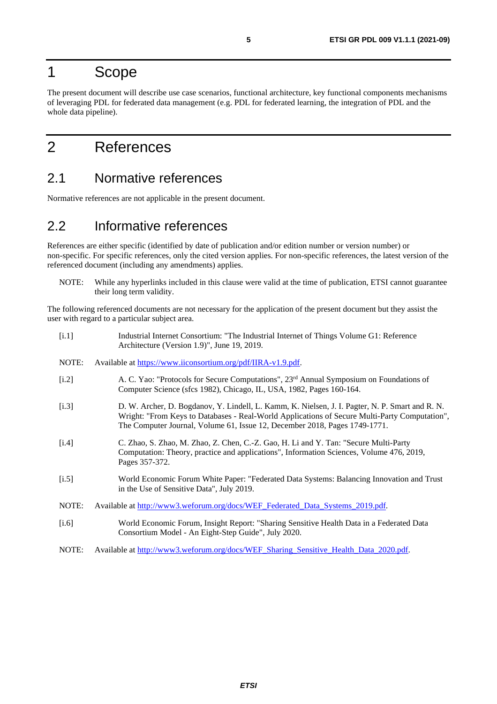# <span id="page-4-0"></span>1 Scope

The present document will describe use case scenarios, functional architecture, key functional components mechanisms of leveraging PDL for federated data management (e.g. PDL for federated learning, the integration of PDL and the whole data pipeline).

# 2 References

### 2.1 Normative references

Normative references are not applicable in the present document.

### 2.2 Informative references

References are either specific (identified by date of publication and/or edition number or version number) or non-specific. For specific references, only the cited version applies. For non-specific references, the latest version of the referenced document (including any amendments) applies.

NOTE: While any hyperlinks included in this clause were valid at the time of publication, ETSI cannot guarantee their long term validity.

The following referenced documents are not necessary for the application of the present document but they assist the user with regard to a particular subject area.

| [i.1]   | Industrial Internet Consortium: "The Industrial Internet of Things Volume G1: Reference<br>Architecture (Version 1.9)", June 19, 2019.                                                                                                                                         |  |  |
|---------|--------------------------------------------------------------------------------------------------------------------------------------------------------------------------------------------------------------------------------------------------------------------------------|--|--|
| NOTE:   | Available at https://www.iiconsortium.org/pdf/IIRA-v1.9.pdf.                                                                                                                                                                                                                   |  |  |
| $[1.2]$ | A. C. Yao: "Protocols for Secure Computations", 23 <sup>rd</sup> Annual Symposium on Foundations of<br>Computer Science (sfcs 1982), Chicago, IL, USA, 1982, Pages 160-164.                                                                                                    |  |  |
| [i.3]   | D. W. Archer, D. Bogdanov, Y. Lindell, L. Kamm, K. Nielsen, J. I. Pagter, N. P. Smart and R. N.<br>Wright: "From Keys to Databases - Real-World Applications of Secure Multi-Party Computation",<br>The Computer Journal, Volume 61, Issue 12, December 2018, Pages 1749-1771. |  |  |
| [i.4]   | C. Zhao, S. Zhao, M. Zhao, Z. Chen, C.-Z. Gao, H. Li and Y. Tan: "Secure Multi-Party<br>Computation: Theory, practice and applications", Information Sciences, Volume 476, 2019,<br>Pages 357-372.                                                                             |  |  |
| $[1.5]$ | World Economic Forum White Paper: "Federated Data Systems: Balancing Innovation and Trust<br>in the Use of Sensitive Data", July 2019.                                                                                                                                         |  |  |
| NOTE:   | Available at http://www3.weforum.org/docs/WEF_Federated_Data_Systems_2019.pdf.                                                                                                                                                                                                 |  |  |
| $[1.6]$ | World Economic Forum, Insight Report: "Sharing Sensitive Health Data in a Federated Data<br>Consortium Model - An Eight-Step Guide", July 2020.                                                                                                                                |  |  |

NOTE: Available at [http://www3.weforum.org/docs/WEF\\_Sharing\\_Sensitive\\_Health\\_Data\\_2020.pdf](http://www3.weforum.org/docs/WEF_Sharing_Sensitive_Health_Data_2020.pdf).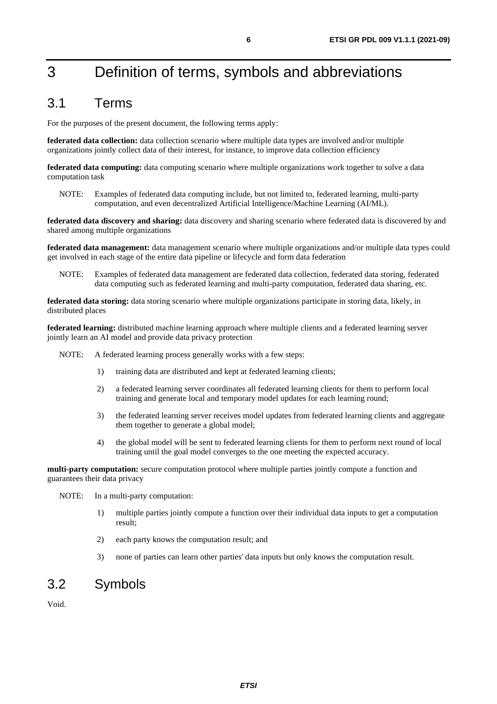# <span id="page-5-0"></span>3 Definition of terms, symbols and abbreviations

# 3.1 Terms

For the purposes of the present document, the following terms apply:

**federated data collection:** data collection scenario where multiple data types are involved and/or multiple organizations jointly collect data of their interest, for instance, to improve data collection efficiency

**federated data computing:** data computing scenario where multiple organizations work together to solve a data computation task

NOTE: Examples of federated data computing include, but not limited to, federated learning, multi-party computation, and even decentralized Artificial Intelligence/Machine Learning (AI/ML).

**federated data discovery and sharing:** data discovery and sharing scenario where federated data is discovered by and shared among multiple organizations

**federated data management:** data management scenario where multiple organizations and/or multiple data types could get involved in each stage of the entire data pipeline or lifecycle and form data federation

NOTE: Examples of federated data management are federated data collection, federated data storing, federated data computing such as federated learning and multi-party computation, federated data sharing, etc.

**federated data storing:** data storing scenario where multiple organizations participate in storing data, likely, in distributed places

**federated learning:** distributed machine learning approach where multiple clients and a federated learning server jointly learn an AI model and provide data privacy protection

NOTE: A federated learning process generally works with a few steps:

- 1) training data are distributed and kept at federated learning clients;
- 2) a federated learning server coordinates all federated learning clients for them to perform local training and generate local and temporary model updates for each learning round;
- 3) the federated learning server receives model updates from federated learning clients and aggregate them together to generate a global model;
- 4) the global model will be sent to federated learning clients for them to perform next round of local training until the goal model converges to the one meeting the expected accuracy.

**multi-party computation:** secure computation protocol where multiple parties jointly compute a function and guarantees their data privacy

NOTE: In a multi-party computation:

- 1) multiple parties jointly compute a function over their individual data inputs to get a computation result;
- 2) each party knows the computation result; and
- 3) none of parties can learn other parties' data inputs but only knows the computation result.

### 3.2 Symbols

Void.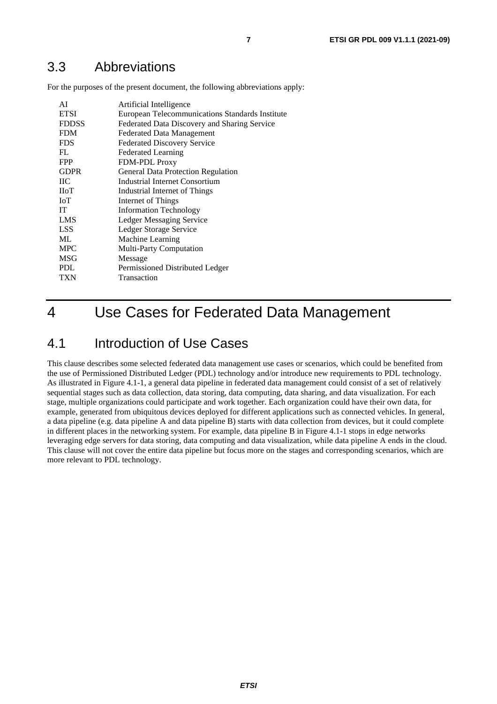# <span id="page-6-0"></span>3.3 Abbreviations

For the purposes of the present document, the following abbreviations apply:

| AI           | Artificial Intelligence                         |
|--------------|-------------------------------------------------|
| <b>ETSI</b>  | European Telecommunications Standards Institute |
| <b>FDDSS</b> | Federated Data Discovery and Sharing Service    |
| <b>FDM</b>   | <b>Federated Data Management</b>                |
| <b>FDS</b>   | <b>Federated Discovery Service</b>              |
| FL           | <b>Federated Learning</b>                       |
| <b>FPP</b>   | FDM-PDL Proxy                                   |
| <b>GDPR</b>  | General Data Protection Regulation              |
| HС           | Industrial Internet Consortium                  |
| <b>HoT</b>   | Industrial Internet of Things                   |
| <b>IoT</b>   | Internet of Things                              |
| IT           | <b>Information Technology</b>                   |
| <b>LMS</b>   | Ledger Messaging Service                        |
| <b>LSS</b>   | Ledger Storage Service                          |
| ML.          | Machine Learning                                |
| <b>MPC</b>   | <b>Multi-Party Computation</b>                  |
| <b>MSG</b>   | Message                                         |
| <b>PDL</b>   | Permissioned Distributed Ledger                 |
| TXN          | Transaction                                     |
|              |                                                 |

# 4 Use Cases for Federated Data Management

# 4.1 Introduction of Use Cases

This clause describes some selected federated data management use cases or scenarios, which could be benefited from the use of Permissioned Distributed Ledger (PDL) technology and/or introduce new requirements to PDL technology. As illustrated in Figure 4.1-1, a general data pipeline in federated data management could consist of a set of relatively sequential stages such as data collection, data storing, data computing, data sharing, and data visualization. For each stage, multiple organizations could participate and work together. Each organization could have their own data, for example, generated from ubiquitous devices deployed for different applications such as connected vehicles. In general, a data pipeline (e.g. data pipeline A and data pipeline B) starts with data collection from devices, but it could complete in different places in the networking system. For example, data pipeline B in Figure 4.1-1 stops in edge networks leveraging edge servers for data storing, data computing and data visualization, while data pipeline A ends in the cloud. This clause will not cover the entire data pipeline but focus more on the stages and corresponding scenarios, which are more relevant to PDL technology.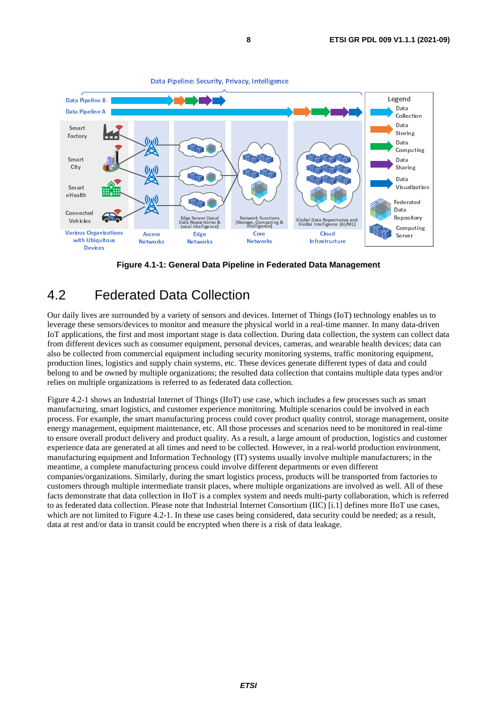<span id="page-7-0"></span>

Data Pipeline: Security, Privacy, Intelligence

**Figure 4.1-1: General Data Pipeline in Federated Data Management** 

### 4.2 Federated Data Collection

Our daily lives are surrounded by a variety of sensors and devices. Internet of Things (IoT) technology enables us to leverage these sensors/devices to monitor and measure the physical world in a real-time manner. In many data-driven IoT applications, the first and most important stage is data collection. During data collection, the system can collect data from different devices such as consumer equipment, personal devices, cameras, and wearable health devices; data can also be collected from commercial equipment including security monitoring systems, traffic monitoring equipment, production lines, logistics and supply chain systems, etc. These devices generate different types of data and could belong to and be owned by multiple organizations; the resulted data collection that contains multiple data types and/or relies on multiple organizations is referred to as federated data collection.

Figure 4.2-1 shows an Industrial Internet of Things (IIoT) use case, which includes a few processes such as smart manufacturing, smart logistics, and customer experience monitoring. Multiple scenarios could be involved in each process. For example, the smart manufacturing process could cover product quality control, storage management, onsite energy management, equipment maintenance, etc. All those processes and scenarios need to be monitored in real-time to ensure overall product delivery and product quality. As a result, a large amount of production, logistics and customer experience data are generated at all times and need to be collected. However, in a real-world production environment, manufacturing equipment and Information Technology (IT) systems usually involve multiple manufacturers; in the meantime, a complete manufacturing process could involve different departments or even different companies/organizations. Similarly, during the smart logistics process, products will be transported from factories to customers through multiple intermediate transit places, where multiple organizations are involved as well. All of these facts demonstrate that data collection in IIoT is a complex system and needs multi-party collaboration, which is referred to as federated data collection. Please note that Industrial Internet Consortium (IIC) [\[i.1](#page-4-0)] defines more IIoT use cases, which are not limited to Figure 4.2-1. In these use cases being considered, data security could be needed; as a result, data at rest and/or data in transit could be encrypted when there is a risk of data leakage.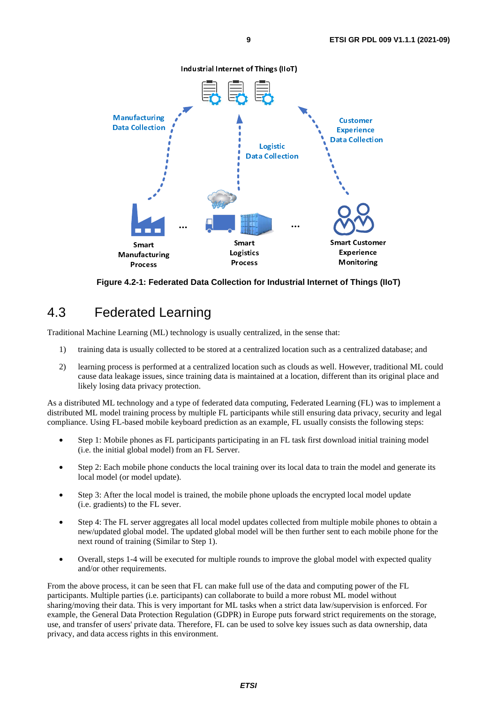<span id="page-8-0"></span>

Industrial Internet of Things (IIoT)

**Figure 4.2-1: Federated Data Collection for Industrial Internet of Things (IIoT)** 

### 4.3 Federated Learning

Traditional Machine Learning (ML) technology is usually centralized, in the sense that:

- 1) training data is usually collected to be stored at a centralized location such as a centralized database; and
- 2) learning process is performed at a centralized location such as clouds as well. However, traditional ML could cause data leakage issues, since training data is maintained at a location, different than its original place and likely losing data privacy protection.

As a distributed ML technology and a type of federated data computing, Federated Learning (FL) was to implement a distributed ML model training process by multiple FL participants while still ensuring data privacy, security and legal compliance. Using FL-based mobile keyboard prediction as an example, FL usually consists the following steps:

- Step 1: Mobile phones as FL participants participating in an FL task first download initial training model (i.e. the initial global model) from an FL Server.
- Step 2: Each mobile phone conducts the local training over its local data to train the model and generate its local model (or model update).
- Step 3: After the local model is trained, the mobile phone uploads the encrypted local model update (i.e. gradients) to the FL sever.
- Step 4: The FL server aggregates all local model updates collected from multiple mobile phones to obtain a new/updated global model. The updated global model will be then further sent to each mobile phone for the next round of training (Similar to Step 1).
- Overall, steps 1-4 will be executed for multiple rounds to improve the global model with expected quality and/or other requirements.

From the above process, it can be seen that FL can make full use of the data and computing power of the FL participants. Multiple parties (i.e. participants) can collaborate to build a more robust ML model without sharing/moving their data. This is very important for ML tasks when a strict data law/supervision is enforced. For example, the General Data Protection Regulation (GDPR) in Europe puts forward strict requirements on the storage, use, and transfer of users' private data. Therefore, FL can be used to solve key issues such as data ownership, data privacy, and data access rights in this environment.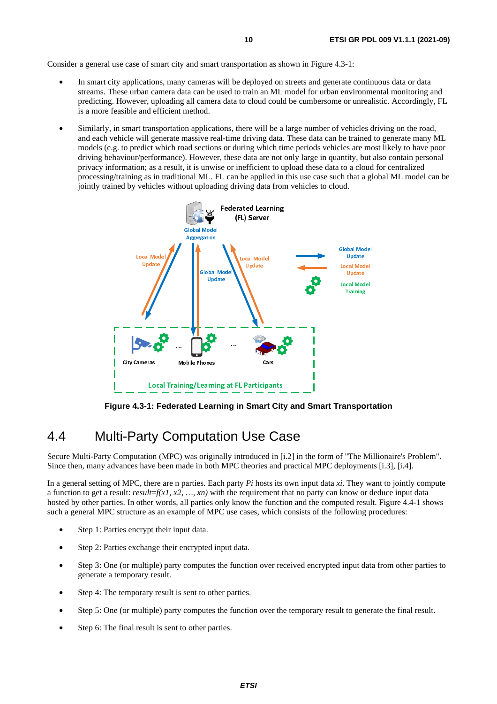<span id="page-9-0"></span>Consider a general use case of smart city and smart transportation as shown in Figure 4.3-1:

- In smart city applications, many cameras will be deployed on streets and generate continuous data or data streams. These urban camera data can be used to train an ML model for urban environmental monitoring and predicting. However, uploading all camera data to cloud could be cumbersome or unrealistic. Accordingly, FL is a more feasible and efficient method.
- Similarly, in smart transportation applications, there will be a large number of vehicles driving on the road, and each vehicle will generate massive real-time driving data. These data can be trained to generate many ML models (e.g. to predict which road sections or during which time periods vehicles are most likely to have poor driving behaviour/performance). However, these data are not only large in quantity, but also contain personal privacy information; as a result, it is unwise or inefficient to upload these data to a cloud for centralized processing/training as in traditional ML. FL can be applied in this use case such that a global ML model can be jointly trained by vehicles without uploading driving data from vehicles to cloud.



**Figure 4.3-1: Federated Learning in Smart City and Smart Transportation** 

### 4.4 Multi-Party Computation Use Case

Secure Multi-Party Computation (MPC) was originally introduced in [[i.2](#page-4-0)] in the form of "The Millionaire's Problem". Since then, many advances have been made in both MPC theories and practical MPC deployments [\[i.3](#page-4-0)], [\[i.4](#page-4-0)].

In a general setting of MPC, there are n parties. Each party *Pi* hosts its own input data *xi*. They want to jointly compute a function to get a result: *result*= $f(x1, x2, ..., xn)$  with the requirement that no party can know or deduce input data hosted by other parties. In other words, all parties only know the function and the computed result. Figure 4.4-1 shows such a general MPC structure as an example of MPC use cases, which consists of the following procedures:

- Step 1: Parties encrypt their input data.
- Step 2: Parties exchange their encrypted input data.
- Step 3: One (or multiple) party computes the function over received encrypted input data from other parties to generate a temporary result.
- Step 4: The temporary result is sent to other parties.
- Step 5: One (or multiple) party computes the function over the temporary result to generate the final result.
- Step 6: The final result is sent to other parties.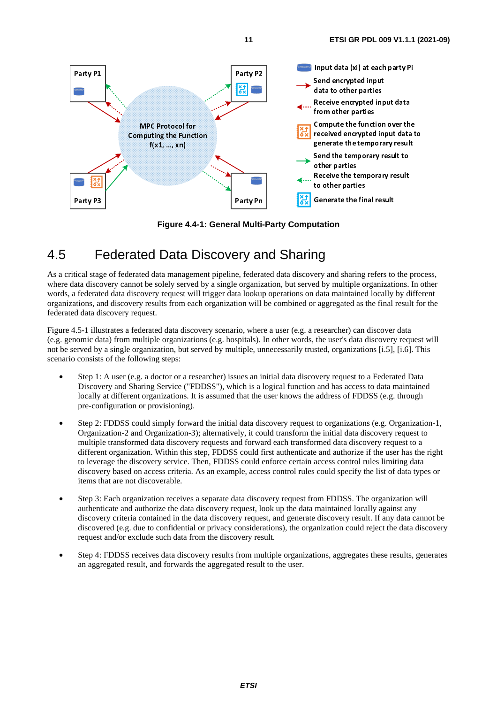<span id="page-10-0"></span>

**Figure 4.4-1: General Multi-Party Computation** 

# 4.5 Federated Data Discovery and Sharing

As a critical stage of federated data management pipeline, federated data discovery and sharing refers to the process, where data discovery cannot be solely served by a single organization, but served by multiple organizations. In other words, a federated data discovery request will trigger data lookup operations on data maintained locally by different organizations, and discovery results from each organization will be combined or aggregated as the final result for the federated data discovery request.

Figure 4.5-1 illustrates a federated data discovery scenario, where a user (e.g. a researcher) can discover data (e.g. genomic data) from multiple organizations (e.g. hospitals). In other words, the user's data discovery request will not be served by a single organization, but served by multiple, unnecessarily trusted, organizations [\[i.5](#page-4-0)], [[i.6](#page-4-0)]. This scenario consists of the following steps:

- Step 1: A user (e.g. a doctor or a researcher) issues an initial data discovery request to a Federated Data Discovery and Sharing Service ("FDDSS"), which is a logical function and has access to data maintained locally at different organizations. It is assumed that the user knows the address of FDDSS (e.g. through pre-configuration or provisioning).
- Step 2: FDDSS could simply forward the initial data discovery request to organizations (e.g. Organization-1, Organization-2 and Organization-3); alternatively, it could transform the initial data discovery request to multiple transformed data discovery requests and forward each transformed data discovery request to a different organization. Within this step, FDDSS could first authenticate and authorize if the user has the right to leverage the discovery service. Then, FDDSS could enforce certain access control rules limiting data discovery based on access criteria. As an example, access control rules could specify the list of data types or items that are not discoverable.
- Step 3: Each organization receives a separate data discovery request from FDDSS. The organization will authenticate and authorize the data discovery request, look up the data maintained locally against any discovery criteria contained in the data discovery request, and generate discovery result. If any data cannot be discovered (e.g. due to confidential or privacy considerations), the organization could reject the data discovery request and/or exclude such data from the discovery result.
- Step 4: FDDSS receives data discovery results from multiple organizations, aggregates these results, generates an aggregated result, and forwards the aggregated result to the user.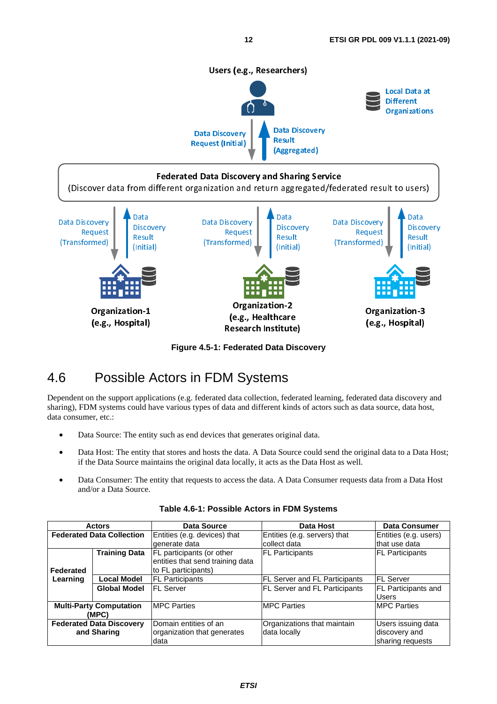<span id="page-11-0"></span>

**Figure 4.5-1: Federated Data Discovery** 

# 4.6 Possible Actors in FDM Systems

Dependent on the support applications (e.g. federated data collection, federated learning, federated data discovery and sharing), FDM systems could have various types of data and different kinds of actors such as data source, data host, data consumer, etc.:

- Data Source: The entity such as end devices that generates original data.
- Data Host: The entity that stores and hosts the data. A Data Source could send the original data to a Data Host; if the Data Source maintains the original data locally, it acts as the Data Host as well.
- Data Consumer: The entity that requests to access the data. A Data Consumer requests data from a Data Host and/or a Data Source.

| <b>Actors</b>                    |                      | <b>Data Source</b>               | Data Host                            | <b>Data Consumer</b>       |
|----------------------------------|----------------------|----------------------------------|--------------------------------------|----------------------------|
| <b>Federated Data Collection</b> |                      | Entities (e.g. devices) that     | Entities (e.g. servers) that         | Entities (e.g. users)      |
|                                  |                      | generate data                    | collect data                         | lthat use data             |
|                                  | <b>Training Data</b> | FL participants (or other        | <b>FL Participants</b>               | <b>FL Participants</b>     |
|                                  |                      | entities that send training data |                                      |                            |
| Federated                        |                      | to FL participants)              |                                      |                            |
| Learning                         | <b>Local Model</b>   | <b>FL Participants</b>           | <b>FL Server and FL Participants</b> | <b>FL Server</b>           |
|                                  | <b>Global Model</b>  | <b>FL Server</b>                 | <b>FL Server and FL Participants</b> | <b>FL Participants and</b> |
|                                  |                      |                                  |                                      | <b>Users</b>               |
| <b>Multi-Party Computation</b>   |                      | <b>MPC Parties</b>               | <b>MPC Parties</b>                   | <b>IMPC Parties</b>        |
| (MPC)                            |                      |                                  |                                      |                            |
| <b>Federated Data Discovery</b>  |                      | Domain entities of an            | Organizations that maintain          | Users issuing data         |
| and Sharing                      |                      | organization that generates      | data locally                         | discovery and              |
|                                  |                      | ldata                            |                                      | sharing requests           |

#### **Table 4.6-1: Possible Actors in FDM Systems**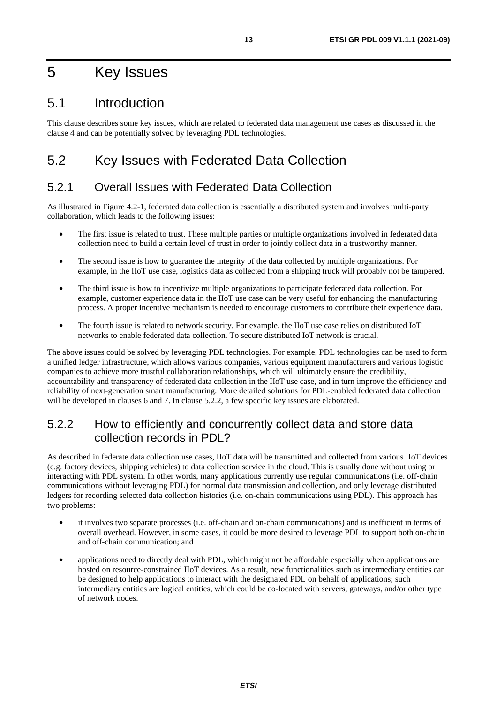# <span id="page-12-0"></span>5 Key Issues

### 5.1 Introduction

This clause describes some key issues, which are related to federated data management use cases as discussed in the clause 4 and can be potentially solved by leveraging PDL technologies.

# 5.2 Key Issues with Federated Data Collection

### 5.2.1 Overall Issues with Federated Data Collection

As illustrated in Figure 4.2-1, federated data collection is essentially a distributed system and involves multi-party collaboration, which leads to the following issues:

- The first issue is related to trust. These multiple parties or multiple organizations involved in federated data collection need to build a certain level of trust in order to jointly collect data in a trustworthy manner.
- The second issue is how to guarantee the integrity of the data collected by multiple organizations. For example, in the IIoT use case, logistics data as collected from a shipping truck will probably not be tampered.
- The third issue is how to incentivize multiple organizations to participate federated data collection. For example, customer experience data in the IIoT use case can be very useful for enhancing the manufacturing process. A proper incentive mechanism is needed to encourage customers to contribute their experience data.
- The fourth issue is related to network security. For example, the IIoT use case relies on distributed IoT networks to enable federated data collection. To secure distributed IoT network is crucial.

The above issues could be solved by leveraging PDL technologies. For example, PDL technologies can be used to form a unified ledger infrastructure, which allows various companies, various equipment manufacturers and various logistic companies to achieve more trustful collaboration relationships, which will ultimately ensure the credibility, accountability and transparency of federated data collection in the IIoT use case, and in turn improve the efficiency and reliability of next-generation smart manufacturing. More detailed solutions for PDL-enabled federated data collection will be developed in clauses 6 and 7. In clause 5.2.2, a few specific key issues are elaborated.

### 5.2.2 How to efficiently and concurrently collect data and store data collection records in PDL?

As described in federate data collection use cases, IIoT data will be transmitted and collected from various IIoT devices (e.g. factory devices, shipping vehicles) to data collection service in the cloud. This is usually done without using or interacting with PDL system. In other words, many applications currently use regular communications (i.e. off-chain communications without leveraging PDL) for normal data transmission and collection, and only leverage distributed ledgers for recording selected data collection histories (i.e. on-chain communications using PDL). This approach has two problems:

- it involves two separate processes (i.e. off-chain and on-chain communications) and is inefficient in terms of overall overhead. However, in some cases, it could be more desired to leverage PDL to support both on-chain and off-chain communication; and
- applications need to directly deal with PDL, which might not be affordable especially when applications are hosted on resource-constrained IIoT devices. As a result, new functionalities such as intermediary entities can be designed to help applications to interact with the designated PDL on behalf of applications; such intermediary entities are logical entities, which could be co-located with servers, gateways, and/or other type of network nodes.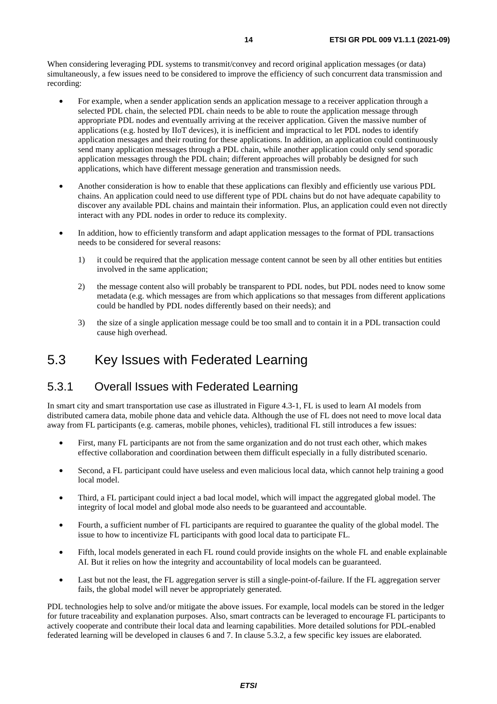<span id="page-13-0"></span>When considering leveraging PDL systems to transmit/convey and record original application messages (or data) simultaneously, a few issues need to be considered to improve the efficiency of such concurrent data transmission and recording:

- For example, when a sender application sends an application message to a receiver application through a selected PDL chain, the selected PDL chain needs to be able to route the application message through appropriate PDL nodes and eventually arriving at the receiver application. Given the massive number of applications (e.g. hosted by IIoT devices), it is inefficient and impractical to let PDL nodes to identify application messages and their routing for these applications. In addition, an application could continuously send many application messages through a PDL chain, while another application could only send sporadic application messages through the PDL chain; different approaches will probably be designed for such applications, which have different message generation and transmission needs.
- Another consideration is how to enable that these applications can flexibly and efficiently use various PDL chains. An application could need to use different type of PDL chains but do not have adequate capability to discover any available PDL chains and maintain their information. Plus, an application could even not directly interact with any PDL nodes in order to reduce its complexity.
- In addition, how to efficiently transform and adapt application messages to the format of PDL transactions needs to be considered for several reasons:
	- 1) it could be required that the application message content cannot be seen by all other entities but entities involved in the same application;
	- 2) the message content also will probably be transparent to PDL nodes, but PDL nodes need to know some metadata (e.g. which messages are from which applications so that messages from different applications could be handled by PDL nodes differently based on their needs); and
	- 3) the size of a single application message could be too small and to contain it in a PDL transaction could cause high overhead.

### 5.3 Key Issues with Federated Learning

### 5.3.1 Overall Issues with Federated Learning

In smart city and smart transportation use case as illustrated in Figure 4.3-1, FL is used to learn AI models from distributed camera data, mobile phone data and vehicle data. Although the use of FL does not need to move local data away from FL participants (e.g. cameras, mobile phones, vehicles), traditional FL still introduces a few issues:

- First, many FL participants are not from the same organization and do not trust each other, which makes effective collaboration and coordination between them difficult especially in a fully distributed scenario.
- Second, a FL participant could have useless and even malicious local data, which cannot help training a good local model.
- Third, a FL participant could inject a bad local model, which will impact the aggregated global model. The integrity of local model and global mode also needs to be guaranteed and accountable.
- Fourth, a sufficient number of FL participants are required to guarantee the quality of the global model. The issue to how to incentivize FL participants with good local data to participate FL.
- Fifth, local models generated in each FL round could provide insights on the whole FL and enable explainable AI. But it relies on how the integrity and accountability of local models can be guaranteed.
- Last but not the least, the FL aggregation server is still a single-point-of-failure. If the FL aggregation server fails, the global model will never be appropriately generated.

PDL technologies help to solve and/or mitigate the above issues. For example, local models can be stored in the ledger for future traceability and explanation purposes. Also, smart contracts can be leveraged to encourage FL participants to actively cooperate and contribute their local data and learning capabilities. More detailed solutions for PDL-enabled federated learning will be developed in clauses 6 and 7. In clause 5.3.2, a few specific key issues are elaborated.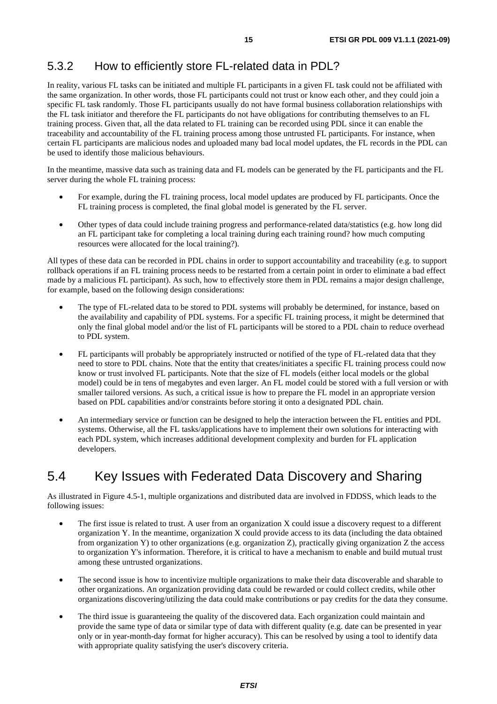### <span id="page-14-0"></span>5.3.2 How to efficiently store FL-related data in PDL?

In reality, various FL tasks can be initiated and multiple FL participants in a given FL task could not be affiliated with the same organization. In other words, those FL participants could not trust or know each other, and they could join a specific FL task randomly. Those FL participants usually do not have formal business collaboration relationships with the FL task initiator and therefore the FL participants do not have obligations for contributing themselves to an FL training process. Given that, all the data related to FL training can be recorded using PDL since it can enable the traceability and accountability of the FL training process among those untrusted FL participants. For instance, when certain FL participants are malicious nodes and uploaded many bad local model updates, the FL records in the PDL can be used to identify those malicious behaviours.

In the meantime, massive data such as training data and FL models can be generated by the FL participants and the FL server during the whole FL training process:

- For example, during the FL training process, local model updates are produced by FL participants. Once the FL training process is completed, the final global model is generated by the FL server.
- Other types of data could include training progress and performance-related data/statistics (e.g. how long did an FL participant take for completing a local training during each training round? how much computing resources were allocated for the local training?).

All types of these data can be recorded in PDL chains in order to support accountability and traceability (e.g. to support rollback operations if an FL training process needs to be restarted from a certain point in order to eliminate a bad effect made by a malicious FL participant). As such, how to effectively store them in PDL remains a major design challenge, for example, based on the following design considerations:

- The type of FL-related data to be stored to PDL systems will probably be determined, for instance, based on the availability and capability of PDL systems. For a specific FL training process, it might be determined that only the final global model and/or the list of FL participants will be stored to a PDL chain to reduce overhead to PDL system.
- FL participants will probably be appropriately instructed or notified of the type of FL-related data that they need to store to PDL chains. Note that the entity that creates/initiates a specific FL training process could now know or trust involved FL participants. Note that the size of FL models (either local models or the global model) could be in tens of megabytes and even larger. An FL model could be stored with a full version or with smaller tailored versions. As such, a critical issue is how to prepare the FL model in an appropriate version based on PDL capabilities and/or constraints before storing it onto a designated PDL chain.
- An intermediary service or function can be designed to help the interaction between the FL entities and PDL systems. Otherwise, all the FL tasks/applications have to implement their own solutions for interacting with each PDL system, which increases additional development complexity and burden for FL application developers.

# 5.4 Key Issues with Federated Data Discovery and Sharing

As illustrated in Figure 4.5-1, multiple organizations and distributed data are involved in FDDSS, which leads to the following issues:

- The first issue is related to trust. A user from an organization X could issue a discovery request to a different organization Y. In the meantime, organization X could provide access to its data (including the data obtained from organization Y) to other organizations (e.g. organization Z), practically giving organization Z the access to organization Y's information. Therefore, it is critical to have a mechanism to enable and build mutual trust among these untrusted organizations.
- The second issue is how to incentivize multiple organizations to make their data discoverable and sharable to other organizations. An organization providing data could be rewarded or could collect credits, while other organizations discovering/utilizing the data could make contributions or pay credits for the data they consume.
- The third issue is guaranteeing the quality of the discovered data. Each organization could maintain and provide the same type of data or similar type of data with different quality (e.g. date can be presented in year only or in year-month-day format for higher accuracy). This can be resolved by using a tool to identify data with appropriate quality satisfying the user's discovery criteria.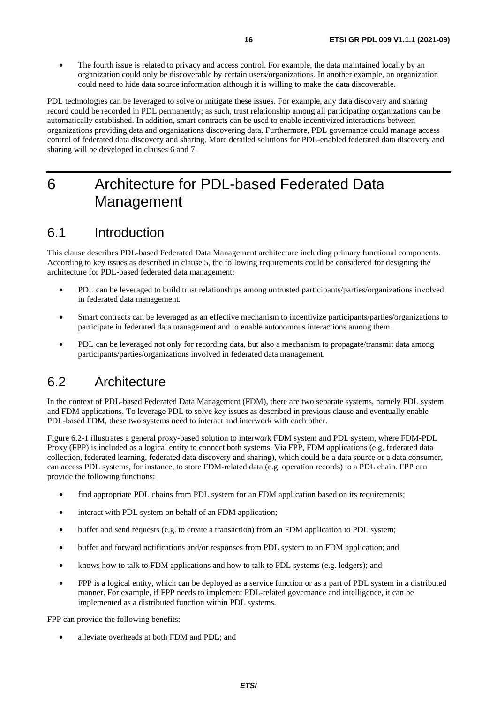<span id="page-15-0"></span>The fourth issue is related to privacy and access control. For example, the data maintained locally by an organization could only be discoverable by certain users/organizations. In another example, an organization could need to hide data source information although it is willing to make the data discoverable.

PDL technologies can be leveraged to solve or mitigate these issues. For example, any data discovery and sharing record could be recorded in PDL permanently; as such, trust relationship among all participating organizations can be automatically established. In addition, smart contracts can be used to enable incentivized interactions between organizations providing data and organizations discovering data. Furthermore, PDL governance could manage access control of federated data discovery and sharing. More detailed solutions for PDL-enabled federated data discovery and sharing will be developed in clauses 6 and 7.

# 6 Architecture for PDL-based Federated Data Management

### 6.1 Introduction

This clause describes PDL-based Federated Data Management architecture including primary functional components. According to key issues as described in clause 5, the following requirements could be considered for designing the architecture for PDL-based federated data management:

- PDL can be leveraged to build trust relationships among untrusted participants/parties/organizations involved in federated data management.
- Smart contracts can be leveraged as an effective mechanism to incentivize participants/parties/organizations to participate in federated data management and to enable autonomous interactions among them.
- PDL can be leveraged not only for recording data, but also a mechanism to propagate/transmit data among participants/parties/organizations involved in federated data management.

# 6.2 Architecture

In the context of PDL-based Federated Data Management (FDM), there are two separate systems, namely PDL system and FDM applications. To leverage PDL to solve key issues as described in previous clause and eventually enable PDL-based FDM, these two systems need to interact and interwork with each other.

Figure 6.2-1 illustrates a general proxy-based solution to interwork FDM system and PDL system, where FDM-PDL Proxy (FPP) is included as a logical entity to connect both systems. Via FPP, FDM applications (e.g. federated data collection, federated learning, federated data discovery and sharing), which could be a data source or a data consumer, can access PDL systems, for instance, to store FDM-related data (e.g. operation records) to a PDL chain. FPP can provide the following functions:

- find appropriate PDL chains from PDL system for an FDM application based on its requirements;
- interact with PDL system on behalf of an FDM application;
- buffer and send requests (e.g. to create a transaction) from an FDM application to PDL system;
- buffer and forward notifications and/or responses from PDL system to an FDM application; and
- knows how to talk to FDM applications and how to talk to PDL systems (e.g. ledgers); and
- FPP is a logical entity, which can be deployed as a service function or as a part of PDL system in a distributed manner. For example, if FPP needs to implement PDL-related governance and intelligence, it can be implemented as a distributed function within PDL systems.

FPP can provide the following benefits:

• alleviate overheads at both FDM and PDL; and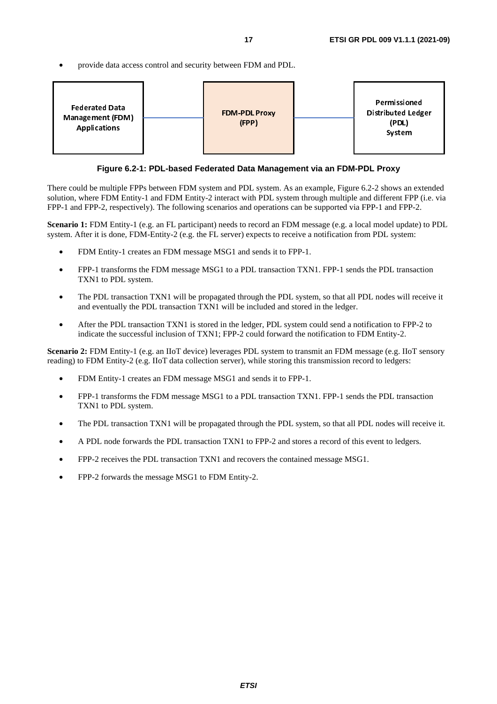• provide data access control and security between FDM and PDL.



**Figure 6.2-1: PDL-based Federated Data Management via an FDM-PDL Proxy** 

There could be multiple FPPs between FDM system and PDL system. As an example, Figure 6.2-2 shows an extended solution, where FDM Entity-1 and FDM Entity-2 interact with PDL system through multiple and different FPP (i.e. via FPP-1 and FPP-2, respectively). The following scenarios and operations can be supported via FPP-1 and FPP-2.

**Scenario 1:** FDM Entity-1 (e.g. an FL participant) needs to record an FDM message (e.g. a local model update) to PDL system. After it is done, FDM-Entity-2 (e.g. the FL server) expects to receive a notification from PDL system:

- FDM Entity-1 creates an FDM message MSG1 and sends it to FPP-1.
- FPP-1 transforms the FDM message MSG1 to a PDL transaction TXN1. FPP-1 sends the PDL transaction TXN1 to PDL system.
- The PDL transaction TXN1 will be propagated through the PDL system, so that all PDL nodes will receive it and eventually the PDL transaction TXN1 will be included and stored in the ledger.
- After the PDL transaction TXN1 is stored in the ledger, PDL system could send a notification to FPP-2 to indicate the successful inclusion of TXN1; FPP-2 could forward the notification to FDM Entity-2.

**Scenario 2:** FDM Entity-1 (e.g. an IIoT device) leverages PDL system to transmit an FDM message (e.g. IIoT sensory reading) to FDM Entity-2 (e.g. IIoT data collection server), while storing this transmission record to ledgers:

- FDM Entity-1 creates an FDM message MSG1 and sends it to FPP-1.
- FPP-1 transforms the FDM message MSG1 to a PDL transaction TXN1. FPP-1 sends the PDL transaction TXN1 to PDL system.
- The PDL transaction TXN1 will be propagated through the PDL system, so that all PDL nodes will receive it.
- A PDL node forwards the PDL transaction TXN1 to FPP-2 and stores a record of this event to ledgers.
- FPP-2 receives the PDL transaction TXN1 and recovers the contained message MSG1.
- FPP-2 forwards the message MSG1 to FDM Entity-2.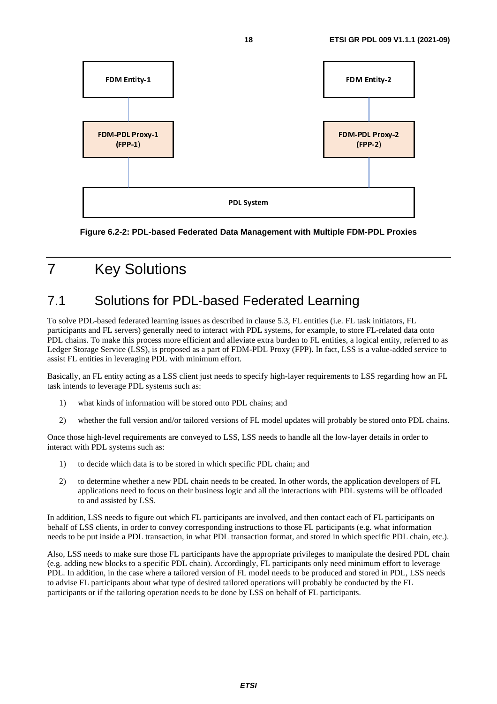<span id="page-17-0"></span>

**Figure 6.2-2: PDL-based Federated Data Management with Multiple FDM-PDL Proxies** 

# 7 Key Solutions

# 7.1 Solutions for PDL-based Federated Learning

To solve PDL-based federated learning issues as described in clause 5.3, FL entities (i.e. FL task initiators, FL participants and FL servers) generally need to interact with PDL systems, for example, to store FL-related data onto PDL chains. To make this process more efficient and alleviate extra burden to FL entities, a logical entity, referred to as Ledger Storage Service (LSS), is proposed as a part of FDM-PDL Proxy (FPP). In fact, LSS is a value-added service to assist FL entities in leveraging PDL with minimum effort.

Basically, an FL entity acting as a LSS client just needs to specify high-layer requirements to LSS regarding how an FL task intends to leverage PDL systems such as:

- 1) what kinds of information will be stored onto PDL chains; and
- 2) whether the full version and/or tailored versions of FL model updates will probably be stored onto PDL chains.

Once those high-level requirements are conveyed to LSS, LSS needs to handle all the low-layer details in order to interact with PDL systems such as:

- 1) to decide which data is to be stored in which specific PDL chain; and
- 2) to determine whether a new PDL chain needs to be created. In other words, the application developers of FL applications need to focus on their business logic and all the interactions with PDL systems will be offloaded to and assisted by LSS.

In addition, LSS needs to figure out which FL participants are involved, and then contact each of FL participants on behalf of LSS clients, in order to convey corresponding instructions to those FL participants (e.g. what information needs to be put inside a PDL transaction, in what PDL transaction format, and stored in which specific PDL chain, etc.).

Also, LSS needs to make sure those FL participants have the appropriate privileges to manipulate the desired PDL chain (e.g. adding new blocks to a specific PDL chain). Accordingly, FL participants only need minimum effort to leverage PDL. In addition, in the case where a tailored version of FL model needs to be produced and stored in PDL, LSS needs to advise FL participants about what type of desired tailored operations will probably be conducted by the FL participants or if the tailoring operation needs to be done by LSS on behalf of FL participants.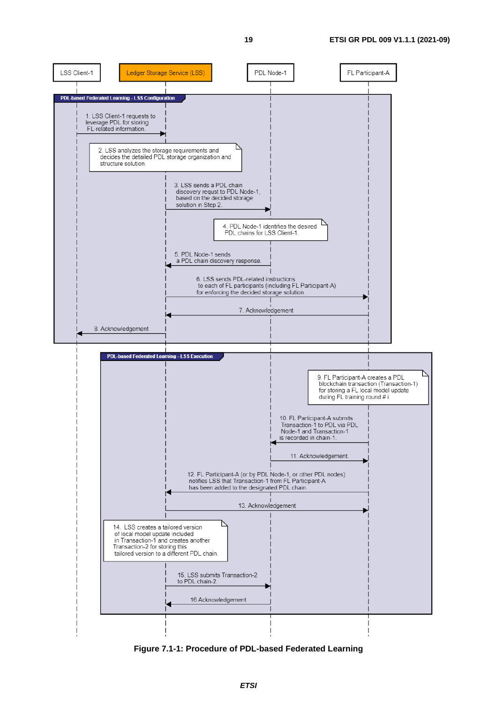

**Figure 7.1-1: Procedure of PDL-based Federated Learning**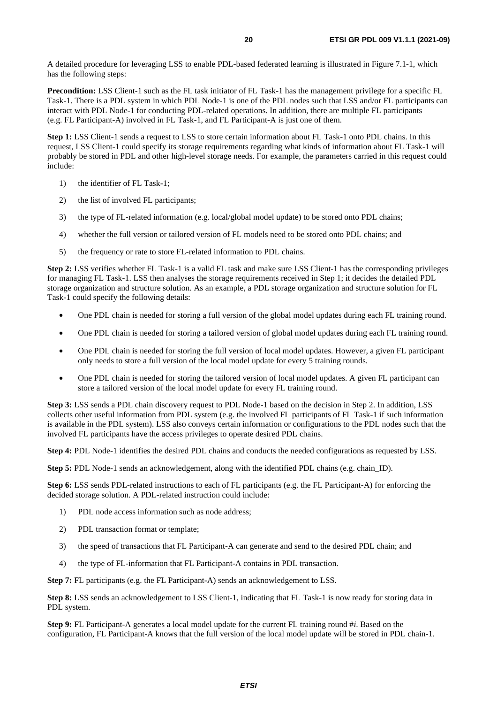A detailed procedure for leveraging LSS to enable PDL-based federated learning is illustrated in Figure 7.1-1, which has the following steps:

**Precondition:** LSS Client-1 such as the FL task initiator of FL Task-1 has the management privilege for a specific FL Task-1. There is a PDL system in which PDL Node-1 is one of the PDL nodes such that LSS and/or FL participants can interact with PDL Node-1 for conducting PDL-related operations. In addition, there are multiple FL participants (e.g. FL Participant-A) involved in FL Task-1, and FL Participant-A is just one of them.

**Step 1:** LSS Client-1 sends a request to LSS to store certain information about FL Task-1 onto PDL chains. In this request, LSS Client-1 could specify its storage requirements regarding what kinds of information about FL Task-1 will probably be stored in PDL and other high-level storage needs. For example, the parameters carried in this request could include:

- 1) the identifier of FL Task-1;
- 2) the list of involved FL participants;
- 3) the type of FL-related information (e.g. local/global model update) to be stored onto PDL chains;
- 4) whether the full version or tailored version of FL models need to be stored onto PDL chains; and
- 5) the frequency or rate to store FL-related information to PDL chains.

**Step 2:** LSS verifies whether FL Task-1 is a valid FL task and make sure LSS Client-1 has the corresponding privileges for managing FL Task-1. LSS then analyses the storage requirements received in Step 1; it decides the detailed PDL storage organization and structure solution. As an example, a PDL storage organization and structure solution for FL Task-1 could specify the following details:

- One PDL chain is needed for storing a full version of the global model updates during each FL training round.
- One PDL chain is needed for storing a tailored version of global model updates during each FL training round.
- One PDL chain is needed for storing the full version of local model updates. However, a given FL participant only needs to store a full version of the local model update for every 5 training rounds.
- One PDL chain is needed for storing the tailored version of local model updates. A given FL participant can store a tailored version of the local model update for every FL training round.

**Step 3:** LSS sends a PDL chain discovery request to PDL Node-1 based on the decision in Step 2. In addition, LSS collects other useful information from PDL system (e.g. the involved FL participants of FL Task-1 if such information is available in the PDL system). LSS also conveys certain information or configurations to the PDL nodes such that the involved FL participants have the access privileges to operate desired PDL chains.

**Step 4:** PDL Node-1 identifies the desired PDL chains and conducts the needed configurations as requested by LSS.

**Step 5:** PDL Node-1 sends an acknowledgement, along with the identified PDL chains (e.g. chain\_ID).

**Step 6:** LSS sends PDL-related instructions to each of FL participants (e.g. the FL Participant-A) for enforcing the decided storage solution. A PDL-related instruction could include:

- 1) PDL node access information such as node address;
- 2) PDL transaction format or template;
- 3) the speed of transactions that FL Participant-A can generate and send to the desired PDL chain; and
- 4) the type of FL-information that FL Participant-A contains in PDL transaction.

**Step 7:** FL participants (e.g. the FL Participant-A) sends an acknowledgement to LSS.

**Step 8:** LSS sends an acknowledgement to LSS Client-1, indicating that FL Task-1 is now ready for storing data in PDL system.

**Step 9:** FL Participant-A generates a local model update for the current FL training round #*i*. Based on the configuration, FL Participant-A knows that the full version of the local model update will be stored in PDL chain-1.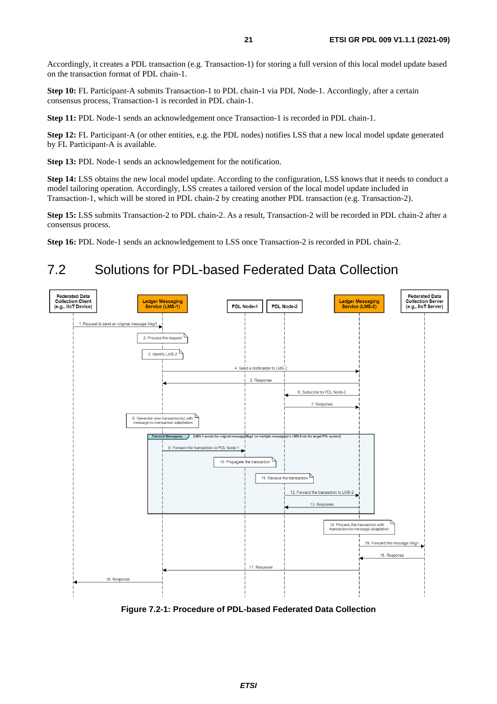<span id="page-20-0"></span>Accordingly, it creates a PDL transaction (e.g. Transaction-1) for storing a full version of this local model update based on the transaction format of PDL chain-1.

**Step 10:** FL Participant-A submits Transaction-1 to PDL chain-1 via PDL Node-1. Accordingly, after a certain consensus process, Transaction-1 is recorded in PDL chain-1.

**Step 11:** PDL Node-1 sends an acknowledgement once Transaction-1 is recorded in PDL chain-1.

**Step 12:** FL Participant-A (or other entities, e.g. the PDL nodes) notifies LSS that a new local model update generated by FL Participant-A is available.

**Step 13: PDL Node-1 sends an acknowledgement for the notification.** 

**Step 14:** LSS obtains the new local model update. According to the configuration, LSS knows that it needs to conduct a model tailoring operation. Accordingly, LSS creates a tailored version of the local model update included in Transaction-1, which will be stored in PDL chain-2 by creating another PDL transaction (e.g. Transaction-2).

**Step 15:** LSS submits Transaction-2 to PDL chain-2. As a result, Transaction-2 will be recorded in PDL chain-2 after a consensus process.

**Step 16:** PDL Node-1 sends an acknowledgement to LSS once Transaction-2 is recorded in PDL chain-2.

# 7.2 Solutions for PDL-based Federated Data Collection



**Figure 7.2-1: Procedure of PDL-based Federated Data Collection**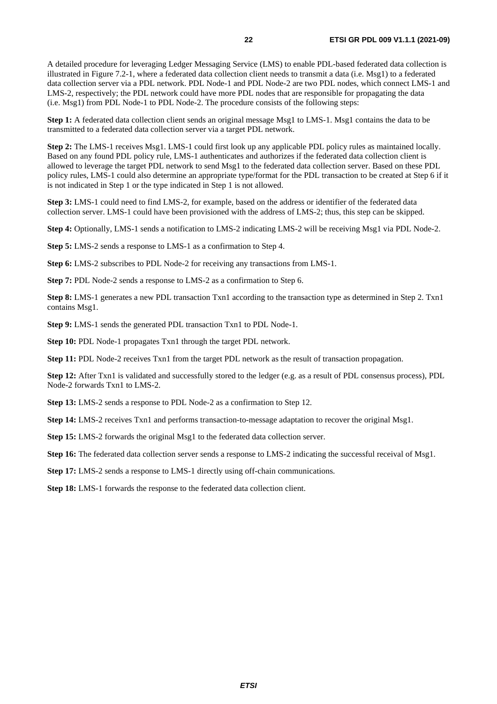A detailed procedure for leveraging Ledger Messaging Service (LMS) to enable PDL-based federated data collection is illustrated in Figure 7.2-1, where a federated data collection client needs to transmit a data (i.e. Msg1) to a federated data collection server via a PDL network. PDL Node-1 and PDL Node-2 are two PDL nodes, which connect LMS-1 and LMS-2, respectively; the PDL network could have more PDL nodes that are responsible for propagating the data (i.e. Msg1) from PDL Node-1 to PDL Node-2. The procedure consists of the following steps:

**Step 1:** A federated data collection client sends an original message Msg1 to LMS-1. Msg1 contains the data to be transmitted to a federated data collection server via a target PDL network.

**Step 2:** The LMS-1 receives Msg1. LMS-1 could first look up any applicable PDL policy rules as maintained locally. Based on any found PDL policy rule, LMS-1 authenticates and authorizes if the federated data collection client is allowed to leverage the target PDL network to send Msg1 to the federated data collection server. Based on these PDL policy rules, LMS-1 could also determine an appropriate type/format for the PDL transaction to be created at Step 6 if it is not indicated in Step 1 or the type indicated in Step 1 is not allowed.

**Step 3:** LMS-1 could need to find LMS-2, for example, based on the address or identifier of the federated data collection server. LMS-1 could have been provisioned with the address of LMS-2; thus, this step can be skipped.

**Step 4:** Optionally, LMS-1 sends a notification to LMS-2 indicating LMS-2 will be receiving Msg1 via PDL Node-2.

**Step 5:** LMS-2 sends a response to LMS-1 as a confirmation to Step 4.

**Step 6:** LMS-2 subscribes to PDL Node-2 for receiving any transactions from LMS-1.

**Step 7:** PDL Node-2 sends a response to LMS-2 as a confirmation to Step 6.

**Step 8:** LMS-1 generates a new PDL transaction Txn1 according to the transaction type as determined in Step 2. Txn1 contains Msg1.

**Step 9:** LMS-1 sends the generated PDL transaction Txn1 to PDL Node-1.

**Step 10:** PDL Node-1 propagates Txn1 through the target PDL network.

**Step 11:** PDL Node-2 receives Txn1 from the target PDL network as the result of transaction propagation.

**Step 12:** After Txn1 is validated and successfully stored to the ledger (e.g. as a result of PDL consensus process), PDL Node-2 forwards Txn1 to LMS-2.

**Step 13:** LMS-2 sends a response to PDL Node-2 as a confirmation to Step 12.

**Step 14:** LMS-2 receives Txn1 and performs transaction-to-message adaptation to recover the original Msg1.

**Step 15:** LMS-2 forwards the original Msg<sub>1</sub> to the federated data collection server.

**Step 16:** The federated data collection server sends a response to LMS-2 indicating the successful receival of Msg1.

**Step 17:** LMS-2 sends a response to LMS-1 directly using off-chain communications.

**Step 18:** LMS-1 forwards the response to the federated data collection client.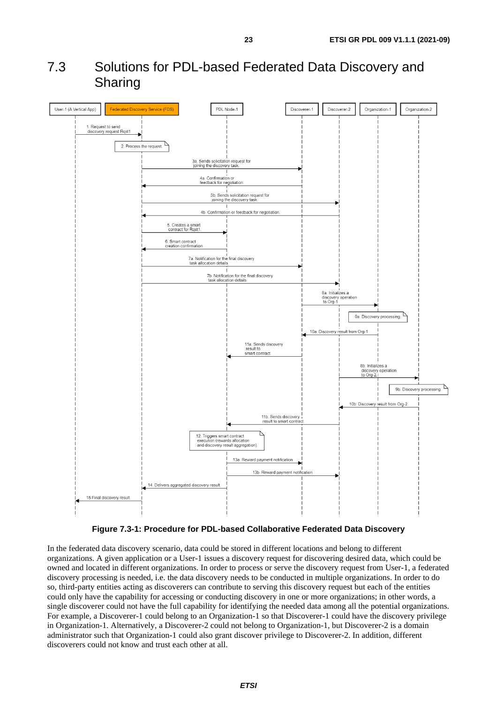### <span id="page-22-0"></span>7.3 Solutions for PDL-based Federated Data Discovery and Sharing



#### **Figure 7.3-1: Procedure for PDL-based Collaborative Federated Data Discovery**

In the federated data discovery scenario, data could be stored in different locations and belong to different organizations. A given application or a User-1 issues a discovery request for discovering desired data, which could be owned and located in different organizations. In order to process or serve the discovery request from User-1, a federated discovery processing is needed, i.e. the data discovery needs to be conducted in multiple organizations. In order to do so, third-party entities acting as discoverers can contribute to serving this discovery request but each of the entities could only have the capability for accessing or conducting discovery in one or more organizations; in other words, a single discoverer could not have the full capability for identifying the needed data among all the potential organizations. For example, a Discoverer-1 could belong to an Organization-1 so that Discoverer-1 could have the discovery privilege in Organization-1. Alternatively, a Discoverer-2 could not belong to Organization-1, but Discoverer-2 is a domain administrator such that Organization-1 could also grant discover privilege to Discoverer-2. In addition, different discoverers could not know and trust each other at all.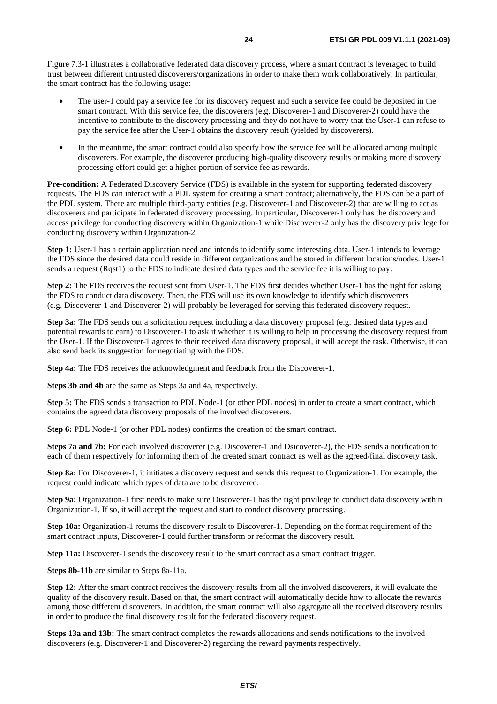Figure 7.3-1 illustrates a collaborative federated data discovery process, where a smart contract is leveraged to build trust between different untrusted discoverers/organizations in order to make them work collaboratively. In particular, the smart contract has the following usage:

- The user-1 could pay a service fee for its discovery request and such a service fee could be deposited in the smart contract. With this service fee, the discoverers (e.g. Discoverer-1 and Discoverer-2) could have the incentive to contribute to the discovery processing and they do not have to worry that the User-1 can refuse to pay the service fee after the User-1 obtains the discovery result (yielded by discoverers).
- In the meantime, the smart contract could also specify how the service fee will be allocated among multiple discoverers. For example, the discoverer producing high-quality discovery results or making more discovery processing effort could get a higher portion of service fee as rewards.

**Pre-condition:** A Federated Discovery Service (FDS) is available in the system for supporting federated discovery requests. The FDS can interact with a PDL system for creating a smart contract; alternatively, the FDS can be a part of the PDL system. There are multiple third-party entities (e.g. Discoverer-1 and Discoverer-2) that are willing to act as discoverers and participate in federated discovery processing. In particular, Discoverer-1 only has the discovery and access privilege for conducting discovery within Organization-1 while Discoverer-2 only has the discovery privilege for conducting discovery within Organization-2.

**Step 1:** User-1 has a certain application need and intends to identify some interesting data. User-1 intends to leverage the FDS since the desired data could reside in different organizations and be stored in different locations/nodes. User-1 sends a request (Rqst1) to the FDS to indicate desired data types and the service fee it is willing to pay.

**Step 2:** The FDS receives the request sent from User-1. The FDS first decides whether User-1 has the right for asking the FDS to conduct data discovery. Then, the FDS will use its own knowledge to identify which discoverers (e.g. Discoverer-1 and Discoverer-2) will probably be leveraged for serving this federated discovery request.

**Step 3a:** The FDS sends out a solicitation request including a data discovery proposal (e.g. desired data types and potential rewards to earn) to Discoverer-1 to ask it whether it is willing to help in processing the discovery request from the User-1. If the Discoverer-1 agrees to their received data discovery proposal, it will accept the task. Otherwise, it can also send back its suggestion for negotiating with the FDS.

**Step 4a:** The FDS receives the acknowledgment and feedback from the Discoverer-1.

**Steps 3b and 4b** are the same as Steps 3a and 4a, respectively.

**Step 5:** The FDS sends a transaction to PDL Node-1 (or other PDL nodes) in order to create a smart contract, which contains the agreed data discovery proposals of the involved discoverers.

**Step 6:** PDL Node-1 (or other PDL nodes) confirms the creation of the smart contract.

**Steps 7a and 7b:** For each involved discoverer (e.g. Discoverer-1 and Dsicoverer-2), the FDS sends a notification to each of them respectively for informing them of the created smart contract as well as the agreed/final discovery task.

**Step 8a:** For Discoverer-1, it initiates a discovery request and sends this request to Organization-1. For example, the request could indicate which types of data are to be discovered.

**Step 9a:** Organization-1 first needs to make sure Discoverer-1 has the right privilege to conduct data discovery within Organization-1. If so, it will accept the request and start to conduct discovery processing.

**Step 10a:** Organization-1 returns the discovery result to Discoverer-1. Depending on the format requirement of the smart contract inputs, Discoverer-1 could further transform or reformat the discovery result.

**Step 11a:** Discoverer-1 sends the discovery result to the smart contract as a smart contract trigger.

**Steps 8b-11b** are similar to Steps 8a-11a.

**Step 12:** After the smart contract receives the discovery results from all the involved discoverers, it will evaluate the quality of the discovery result. Based on that, the smart contract will automatically decide how to allocate the rewards among those different discoverers. In addition, the smart contract will also aggregate all the received discovery results in order to produce the final discovery result for the federated discovery request.

**Steps 13a and 13b:** The smart contract completes the rewards allocations and sends notifications to the involved discoverers (e.g. Discoverer-1 and Discoverer-2) regarding the reward payments respectively.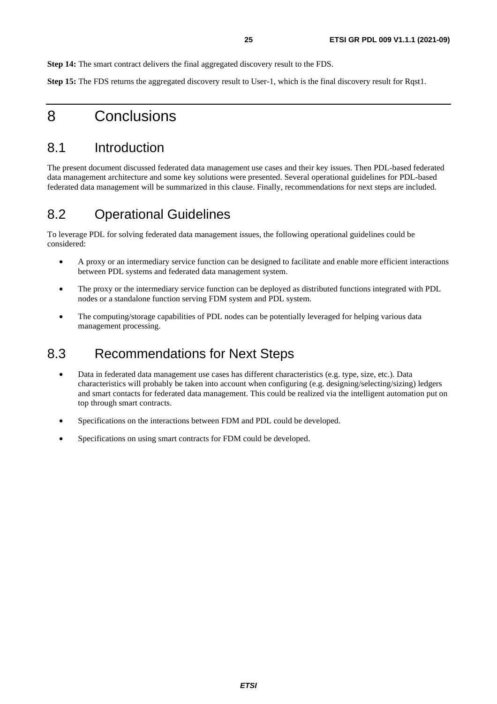<span id="page-24-0"></span>**Step 14:** The smart contract delivers the final aggregated discovery result to the FDS.

**Step 15:** The FDS returns the aggregated discovery result to User-1, which is the final discovery result for Rqst1.

# 8 Conclusions

### 8.1 Introduction

The present document discussed federated data management use cases and their key issues. Then PDL-based federated data management architecture and some key solutions were presented. Several operational guidelines for PDL-based federated data management will be summarized in this clause. Finally, recommendations for next steps are included.

# 8.2 Operational Guidelines

To leverage PDL for solving federated data management issues, the following operational guidelines could be considered:

- A proxy or an intermediary service function can be designed to facilitate and enable more efficient interactions between PDL systems and federated data management system.
- The proxy or the intermediary service function can be deployed as distributed functions integrated with PDL nodes or a standalone function serving FDM system and PDL system.
- The computing/storage capabilities of PDL nodes can be potentially leveraged for helping various data management processing.

### 8.3 Recommendations for Next Steps

- Data in federated data management use cases has different characteristics (e.g. type, size, etc.). Data characteristics will probably be taken into account when configuring (e.g. designing/selecting/sizing) ledgers and smart contacts for federated data management. This could be realized via the intelligent automation put on top through smart contracts.
- Specifications on the interactions between FDM and PDL could be developed.
- Specifications on using smart contracts for FDM could be developed.